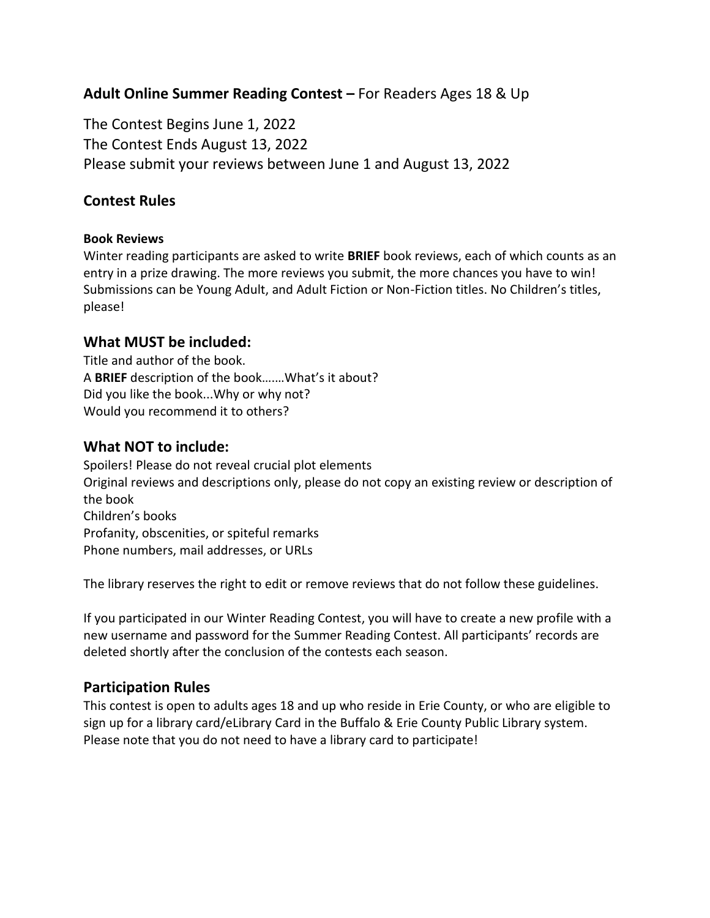# **Adult Online Summer Reading Contest –** For Readers Ages 18 & Up

The Contest Begins June 1, 2022 The Contest Ends August 13, 2022 Please submit your reviews between June 1 and August 13, 2022

## **Contest Rules**

#### **Book Reviews**

Winter reading participants are asked to write **BRIEF** book reviews, each of which counts as an entry in a prize drawing. The more reviews you submit, the more chances you have to win! Submissions can be Young Adult, and Adult Fiction or Non-Fiction titles. No Children's titles, please!

### **What MUST be included:**

Title and author of the book. A **BRIEF** description of the book….…What's it about? Did you like the book...Why or why not? Would you recommend it to others?

## **What NOT to include:**

Spoilers! Please do not reveal crucial plot elements Original reviews and descriptions only, please do not copy an existing review or description of the book Children's books Profanity, obscenities, or spiteful remarks Phone numbers, mail addresses, or URLs

The library reserves the right to edit or remove reviews that do not follow these guidelines.

If you participated in our Winter Reading Contest, you will have to create a new profile with a new username and password for the Summer Reading Contest. All participants' records are deleted shortly after the conclusion of the contests each season.

#### **Participation Rules**

This contest is open to adults ages 18 and up who reside in Erie County, or who are eligible to sign up for a library card/eLibrary Card in the Buffalo & Erie County Public Library system. Please note that you do not need to have a library card to participate!